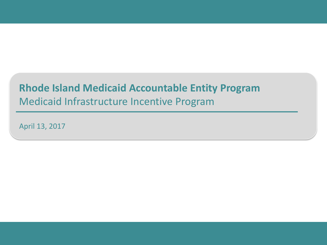### **Rhode Island Medicaid Accountable Entity Program** Medicaid Infrastructure Incentive Program

April 13, 2017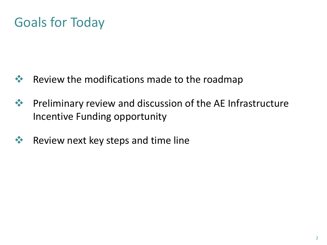### Goals for Today

- **Ex+** Review the modifications made to the roadmap
- $\mathbf{\hat{P}}$  Preliminary review and discussion of the AE Infrastructure Incentive Funding opportunity
- **EXECUTE:** Review next key steps and time line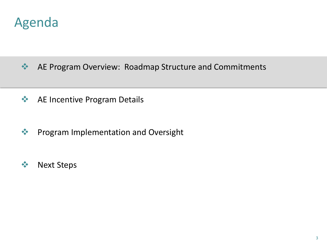### Agenda

- **AE Program Overview: Roadmap Structure and Commitments**
- **◆ AE Incentive Program Details**
- **◆ Program Implementation and Oversight**
- ❖ Next Steps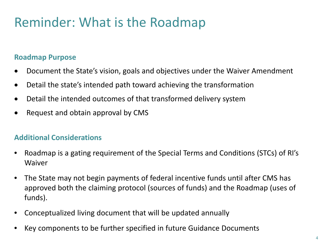### Reminder: What is the Roadmap

### **Roadmap Purpose**

- Document the State's vision, goals and objectives under the Waiver Amendment
- Detail the state's intended path toward achieving the transformation
- Detail the intended outcomes of that transformed delivery system
- Request and obtain approval by CMS

### **Additional Considerations**

- Roadmap is a gating requirement of the Special Terms and Conditions (STCs) of RI's Waiver
- The State may not begin payments of federal incentive funds until after CMS has approved both the claiming protocol (sources of funds) and the Roadmap (uses of funds).
- Conceptualized living document that will be updated annually
- Key components to be further specified in future Guidance Documents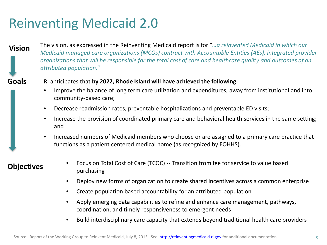## Reinventing Medicaid 2.0

#### **Vision**

The vision, as expressed in the Reinventing Medicaid report is for "*…a reinvented Medicaid in which our Medicaid managed care organizations (MCOs) contract with Accountable Entities (AEs), integrated provider organizations that will be responsible for the total cost of care and healthcare quality and outcomes of an attributed population.*"

#### **Goals**

#### RI anticipates that **by 2022, Rhode Island will have achieved the following:**

- Improve the balance of long term care utilization and expenditures, away from institutional and into community-based care;
- Decrease readmission rates, preventable hospitalizations and preventable ED visits;
- Increase the provision of coordinated primary care and behavioral health services in the same setting; and
- Increased numbers of Medicaid members who choose or are assigned to a primary care practice that functions as a patient centered medical home (as recognized by EOHHS).

#### **Objectives**

- Focus on Total Cost of Care (TCOC) -- Transition from fee for service to value based purchasing
- Deploy new forms of organization to create shared incentives across a common enterprise
- Create population based accountability for an attributed population
- Apply emerging data capabilities to refine and enhance care management, pathways, coordination, and timely responsiveness to emergent needs
- Build interdisciplinary care capacity that extends beyond traditional health care providers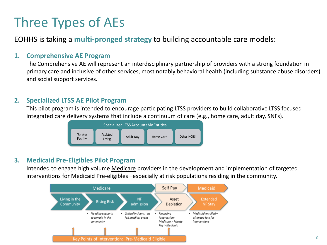# Three Types of AEs

EOHHS is taking a **multi-pronged strategy** to building accountable care models:

#### **1. Comprehensive AE Program**

The Comprehensive AE will represent an interdisciplinary partnership of providers with a strong foundation in primary care and inclusive of other services, most notably behavioral health (including substance abuse disorders) and social support services.

#### **2. Specialized LTSS AE Pilot Program**

This pilot program is intended to encourage participating LTSS providers to build collaborative LTSS focused integrated care delivery systems that include a continuum of care (e.g., home care, adult day, SNFs).



#### **3. Medicaid Pre-Eligibles Pilot Program**

Intended to engage high volume Medicare providers in the development and implementation of targeted interventions for Medicaid Pre-eligibles –especially at risk populations residing in the community.

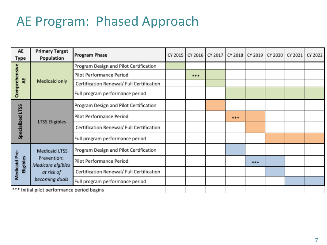### AE Program: Phased Approach

| AE<br>Type                 | <b>Primary Target</b><br>Population         | <b>Program Phase</b>                      | CY 2015 | CY 2016 | CY 2017 | CY 2018 | CY 2019 | CY 2020 | CY 2021 | CY 2022 |
|----------------------------|---------------------------------------------|-------------------------------------------|---------|---------|---------|---------|---------|---------|---------|---------|
|                            |                                             | Program Design and Pilot Certification    |         |         |         |         |         |         |         |         |
| Comprehensive              |                                             | Pilot Performance Period                  |         | 844     |         |         |         |         |         |         |
| 当                          | Medicaid only                               | Certification Renewal/ Full Certification |         |         |         |         |         |         |         |         |
|                            |                                             | Full program performance period           |         |         |         |         |         |         |         |         |
| Specialized LTSS           |                                             | Program Design and Pilot Certification    |         |         |         |         |         |         |         |         |
|                            | <b>LTSS Eligibles</b>                       | Pilot Performance Period                  |         |         |         | 844     |         |         |         |         |
|                            |                                             | Certification Renewal/ Full Certification |         |         |         |         |         |         |         |         |
|                            |                                             | Full program performance period           |         |         |         |         |         |         |         |         |
|                            | Medicaid LTSS                               | Program Design and Pilot Certification    |         |         |         |         |         |         |         |         |
| Medicaid Pre-<br>Eligibles | Prevention:<br>Medicare elgibles            | Pilot Performance Period                  |         |         |         |         | 844     |         |         |         |
|                            | at risk of                                  | Certification Renewal/ Full Certification |         |         |         |         |         |         |         |         |
|                            | becoming duals                              | Full program performance period           |         |         |         |         |         |         |         |         |
|                            | *** Initial pilot performance period begins |                                           |         |         |         |         |         |         |         |         |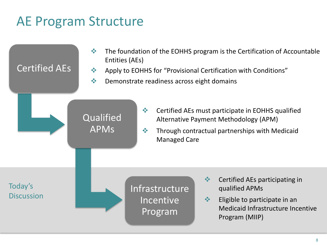## AE Program Structure

| <b>Certified AEs</b>         | 豪<br>Entities (AEs)<br>$\frac{1}{2}$<br>$\frac{1}{2}$ | Demonstrate readiness across eight domains                                     | The foundation of the EOHHS program is the Certification of Accountable<br>Apply to EOHHS for "Provisional Certification with Conditions"                                  |
|------------------------------|-------------------------------------------------------|--------------------------------------------------------------------------------|----------------------------------------------------------------------------------------------------------------------------------------------------------------------------|
|                              | Qualified<br><b>APMs</b>                              | $\frac{\partial}{\partial x^{\alpha}}$<br>$\frac{1}{2}$<br><b>Managed Care</b> | Certified AEs must participate in EOHHS qualified<br>Alternative Payment Methodology (APM)<br>Through contractual partnerships with Medicaid                               |
| Today's<br><b>Discussion</b> |                                                       | Infrastructure<br>Incentive<br>Program                                         | $\frac{1}{2}$<br>Certified AEs participating in<br>qualified APMs<br>$\frac{1}{2}$<br>Eligible to participate in an<br>Medicaid Infrastructure Incentive<br>Program (MIIP) |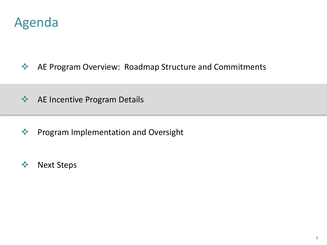

**AE Program Overview: Roadmap Structure and Commitments** 

### **EXAL PROPER ALTA ARE Incentive Program Details**

- **◆ Program Implementation and Oversight**
- ❖ Next Steps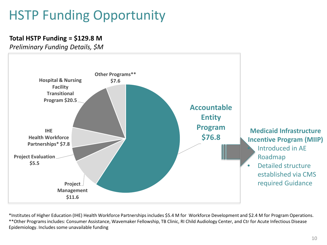# HSTP Funding Opportunity

#### **Total HSTP Funding = \$129.8 M**

*Preliminary Funding Details, \$M*



\*Institutes of Higher Education (IHE) Health Workforce Partnerships includes \$5.4 M for Workforce Development and \$2.4 M for Program Operations. \*\*Other Programs includes: Consumer Assistance, Wavemaker Fellowship, TB Clinic, RI Child Audiology Center, and Ctr for Acute Infectious Disease Epidemiology. Includes some unavailable funding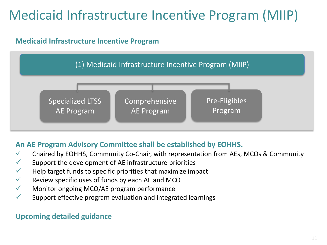# Medicaid Infrastructure Incentive Program (MIIP)

### **Medicaid Infrastructure Incentive Program**



### **An AE Program Advisory Committee shall be established by EOHHS.**

- $\checkmark$  Chaired by EOHHS, Community Co-Chair, with representation from AEs, MCOs & Community
- $\checkmark$  Support the development of AE infrastructure priorities
- $\checkmark$  Help target funds to specific priorities that maximize impact
- $\checkmark$  Review specific uses of funds by each AE and MCO
- $\checkmark$  Monitor ongoing MCO/AE program performance
- $\checkmark$  Support effective program evaluation and integrated learnings

#### **Upcoming detailed guidance**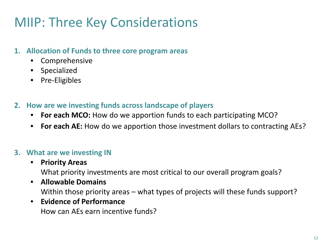## MIIP: Three Key Considerations

### **1. Allocation of Funds to three core program areas**

- **Comprehensive**
- Specialized
- Pre-Eligibles
- **2. How are we investing funds across landscape of players**
	- **For each MCO:** How do we apportion funds to each participating MCO?
	- **For each AE:** How do we apportion those investment dollars to contracting AEs?

### **3. What are we investing IN**

• **Priority Areas**

What priority investments are most critical to our overall program goals?

• **Allowable Domains** Within those priority areas – what types of projects will these funds support?

#### • **Evidence of Performance**

How can AEs earn incentive funds?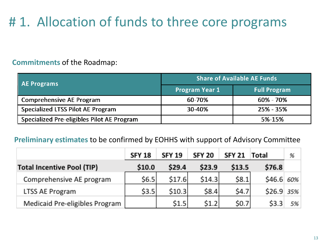# # 1. Allocation of funds to three core programs

#### **Commitments** of the Roadmap:

| AE Programs                                | <b>Share of Available AE Funds</b> |                     |  |  |  |
|--------------------------------------------|------------------------------------|---------------------|--|--|--|
|                                            | <b>Program Year 1</b>              | <b>Full Program</b> |  |  |  |
| <b>Comprehensive AE Program</b>            | 60-70%                             | $60\% - 70\%$       |  |  |  |
| <b>Specialized LTSS Pilot AE Program</b>   | 30-40%                             | $25\% - 35\%$       |  |  |  |
| Specialized Pre-eligibles Pilot AE Program |                                    | 5%-15%              |  |  |  |

#### **Preliminary estimates** to be confirmed by EOHHS with support of Advisory Committee

|                                   | <b>SFY 18</b> | <b>SFY 19</b> | <b>SFY 20</b> | <b>SFY 21</b> | <b>Total</b> | %  |
|-----------------------------------|---------------|---------------|---------------|---------------|--------------|----|
| <b>Total Incentive Pool (TIP)</b> | \$10.0        | \$29.4        | \$23.9        | \$13.5        | \$76.8       |    |
| Comprehensive AE program          | 56.5          | \$17.6        | 514.3         | \$8.1         | $$46.6 60\%$ |    |
| LTSS AE Program                   | \$3.5         | \$10.3        | \$8.4         | 54.7          | $$26.9$ 35%  |    |
| Medicaid Pre-eligibles Program    |               | 51.5          | 51.2          | \$0.7         | \$3.3        | 5% |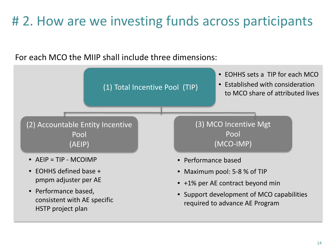## # 2. How are we investing funds across participants

For each MCO the MIIP shall include three dimensions:

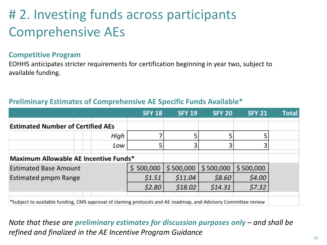# # 2. Investing funds across participants Comprehensive AEs

#### **Competitive Program**

EOHHS anticipates stricter requirements for certification beginning in year two, subject to available funding.

|  |  | Preliminary Estimates of Comprehensive AE Specific Funds Available* |  |  |
|--|--|---------------------------------------------------------------------|--|--|
|--|--|---------------------------------------------------------------------|--|--|

|                                                                                                                |  |      | <b>SFY 18</b> | <b>SFY 19</b> | <b>SFY 20</b> | <b>SFY 21</b> | <b>Total</b> |
|----------------------------------------------------------------------------------------------------------------|--|------|---------------|---------------|---------------|---------------|--------------|
| <b>Estimated Number of Certified AEs</b>                                                                       |  |      |               |               |               |               |              |
|                                                                                                                |  | High |               |               |               |               |              |
|                                                                                                                |  | Low  |               |               |               |               |              |
| Maximum Allowable AE Incentive Funds*                                                                          |  |      |               |               |               |               |              |
| <b>Estimated Base Amount</b>                                                                                   |  |      | 500,000       | \$500,000     | \$500,000     | \$500,000     |              |
| Estimated pmpm Range                                                                                           |  |      | \$1.51        | \$11.04       | \$8.60        | \$4.00        |              |
|                                                                                                                |  |      | \$2.80        | \$18.02\$     | \$14.31       | \$7.32        |              |
|                                                                                                                |  |      |               |               |               |               |              |
| *Subject to available funding, CMS approval of claming protocols and AE roadmap, and Advisory Committee review |  |      |               |               |               |               |              |

*Note that these are preliminary estimates for discussion purposes only – and shall be refined and finalized in the AE Incentive Program Guidance*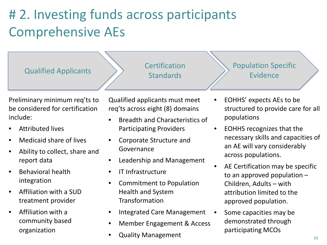# # 2. Investing funds across participants Comprehensive AEs

Qualified Applicants **Certification** 

**Standards** 

Preliminary minimum req'ts to be considered for certification include:

- Attributed lives
- Medicaid share of lives
- Ability to collect, share and report data
- Behavioral health integration
- Affiliation with a SUD treatment provider
- Affiliation with a community based organization

Qualified applicants must meet req'ts across eight (8) domains

- Breadth and Characteristics of Participating Providers
- Corporate Structure and Governance
- Leadership and Management
- IT Infrastructure
- Commitment to Population Health and System Transformation
- Integrated Care Management
- Member Engagement & Access
- Quality Management

Population Specific Evidence

- EOHHS' expects AEs to be structured to provide care for all populations
- EOHHS recognizes that the necessary skills and capacities of an AE will vary considerably across populations.
- AE Certification may be specific to an approved population – Children, Adults – with attribution limited to the approved population.
- Some capacities may be demonstrated through participating MCOs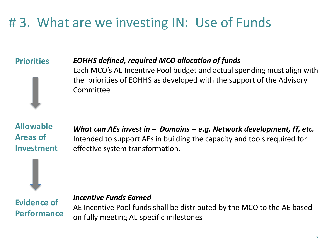## # 3. What are we investing IN: Use of Funds

### **Priorities**

#### *EOHHS defined, required MCO allocation of funds*

Each MCO's AE Incentive Pool budget and actual spending must align with the priorities of EOHHS as developed with the support of the Advisory Committee

**Allowable Areas of Investment**

*What can AEs invest in – Domains -- e.g. Network development, IT, etc.* Intended to support AEs in building the capacity and tools required for effective system transformation.



#### *Incentive Funds Earned*

AE Incentive Pool funds shall be distributed by the MCO to the AE based on fully meeting AE specific milestones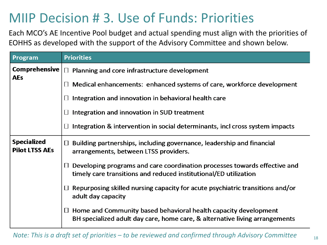### MIIP Decision # 3. Use of Funds: Priorities

Each MCO's AE Incentive Pool budget and actual spending must align with the priorities of EOHHS as developed with the support of the Advisory Committee and shown below.

| Program                                     | <b>Priorities</b>                                                                                                                                     |
|---------------------------------------------|-------------------------------------------------------------------------------------------------------------------------------------------------------|
| <b>Comprehensive</b>                        | $\Box$ Planning and core infrastructure development                                                                                                   |
| <b>AEs</b>                                  | Medical enhancements: enhanced systems of care, workforce development<br>$\Box$                                                                       |
|                                             | $\Box$ Integration and innovation in behavioral health care                                                                                           |
|                                             | Integration and innovation in SUD treatment<br>Ш                                                                                                      |
|                                             | Integration & intervention in social determinants, incl cross system impacts<br>$\Box$                                                                |
| <b>Specialized</b><br><b>Pilot LTSS AEs</b> | $\Box$ Building partnerships, including governance, leadership and financial<br>arrangements, between LTSS providers.                                 |
|                                             | Developing programs and care coordination processes towards effective and<br>Ш<br>timely care transitions and reduced institutional/ED utilization    |
|                                             | $\Box$ Repurposing skilled nursing capacity for acute psychiatric transitions and/or<br>adult day capacity                                            |
|                                             | $\Box$ Home and Community based behavioral health capacity development<br>BH specialized adult day care, home care, & alternative living arrangements |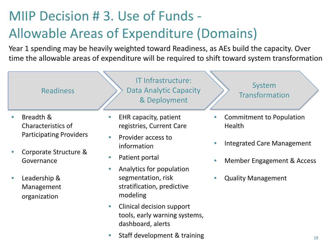# MIIP Decision # 3. Use of Funds - Allowable Areas of Expenditure (Domains)

Year 1 spending may be heavily weighted toward Readiness, as AEs build the capacity. Over time the allowable areas of expenditure will be required to shift toward system transformation



organization

• Staff development & training

dashboard, alerts

• Clinical decision support

tools, early warning systems,

modeling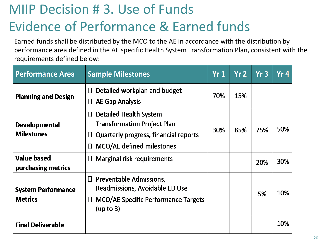# MIIP Decision # 3. Use of Funds Evidence of Performance & Earned funds

Earned funds shall be distributed by the MCO to the AE in accordance with the distribution by performance area defined in the AE specific Health System Transformation Plan, consistent with the requirements defined below:

| <b>Performance Area</b>                     | <b>Sample Milestones</b>                                                                                                                                           | Yr1 | Yr <sub>2</sub> | Yr3 | Yr4 |
|---------------------------------------------|--------------------------------------------------------------------------------------------------------------------------------------------------------------------|-----|-----------------|-----|-----|
| <b>Planning and Design</b>                  | Detailed workplan and budget<br>$\Box$<br><b>AE Gap Analysis</b><br>$\Box$                                                                                         | 70% | 15%             |     |     |
| <b>Developmental</b><br><b>Milestones</b>   | <b>Detailed Health System</b><br>$\Box$<br><b>Transformation Project Plan</b><br>Quarterly progress, financial reports<br>Ш<br>MCO/AE defined milestones<br>$\Box$ | 30% | 85%             | 75% | 50% |
| <b>Value based</b><br>purchasing metrics    | <b>Marginal risk requirements</b><br>∐                                                                                                                             |     |                 | 20% | 30% |
| <b>System Performance</b><br><b>Metrics</b> | Preventable Admissions,<br>$\Box$<br>Readmissions, Avoidable ED Use<br>MCO/AE Specific Performance Targets<br>$\Box$<br>(up to 3)                                  |     |                 | 5%  | 10% |
| <b>Final Deliverable</b>                    |                                                                                                                                                                    |     |                 |     | 10% |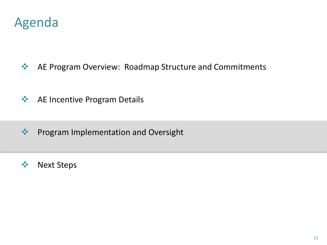

- **AE Program Overview: Roadmap Structure and Commitments**
- **◆ AE Incentive Program Details**
- **◆ Program Implementation and Oversight**
- ❖ Next Steps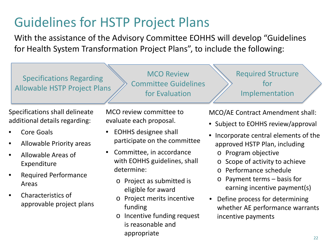# Guidelines for HSTP Project Plans

With the assistance of the Advisory Committee EOHHS will develop "Guidelines for Health System Transformation Project Plans", to include the following:

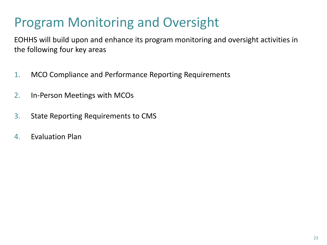## Program Monitoring and Oversight

EOHHS will build upon and enhance its program monitoring and oversight activities in the following four key areas

- 1. MCO Compliance and Performance Reporting Requirements
- 2. In-Person Meetings with MCOs
- 3. State Reporting Requirements to CMS
- 4. Evaluation Plan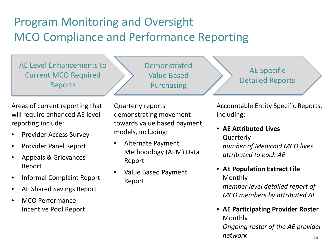### Program Monitoring and Oversight MCO Compliance and Performance Reporting

AE Level Enhancements to Current MCO Required Reports

Areas of current reporting that will require enhanced AE level reporting include:

- Provider Access Survey
- Provider Panel Report
- Appeals & Grievances Report
- Informal Complaint Report
- AE Shared Savings Report
- MCO Performance Incentive Pool Report

Quarterly reports demonstrating movement towards value based payment models, including:

Demonstrated

Value Based

Purchasing

- Alternate Payment Methodology (APM) Data Report
- Value Based Payment Report

AE Specific Detailed Reports

Accountable Entity Specific Reports, including:

• **AE Attributed Lives** Quarterly *number of Medicaid MCO lives attributed to each AE*

• **AE Population Extract File** Monthly

*member level detailed report of MCO members by attributed AE* 

 $24$ • **AE Participating Provider Roster** Monthly *Ongoing roster of the AE provider network*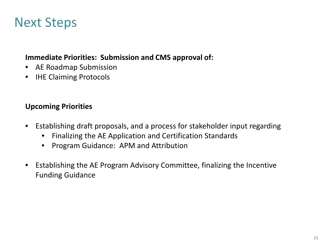### Next Steps

#### **Immediate Priorities: Submission and CMS approval of:**

- AE Roadmap Submission
- **IHE Claiming Protocols**

#### **Upcoming Priorities**

- Establishing draft proposals, and a process for stakeholder input regarding
	- Finalizing the AE Application and Certification Standards
	- Program Guidance: APM and Attribution
- Establishing the AE Program Advisory Committee, finalizing the Incentive Funding Guidance